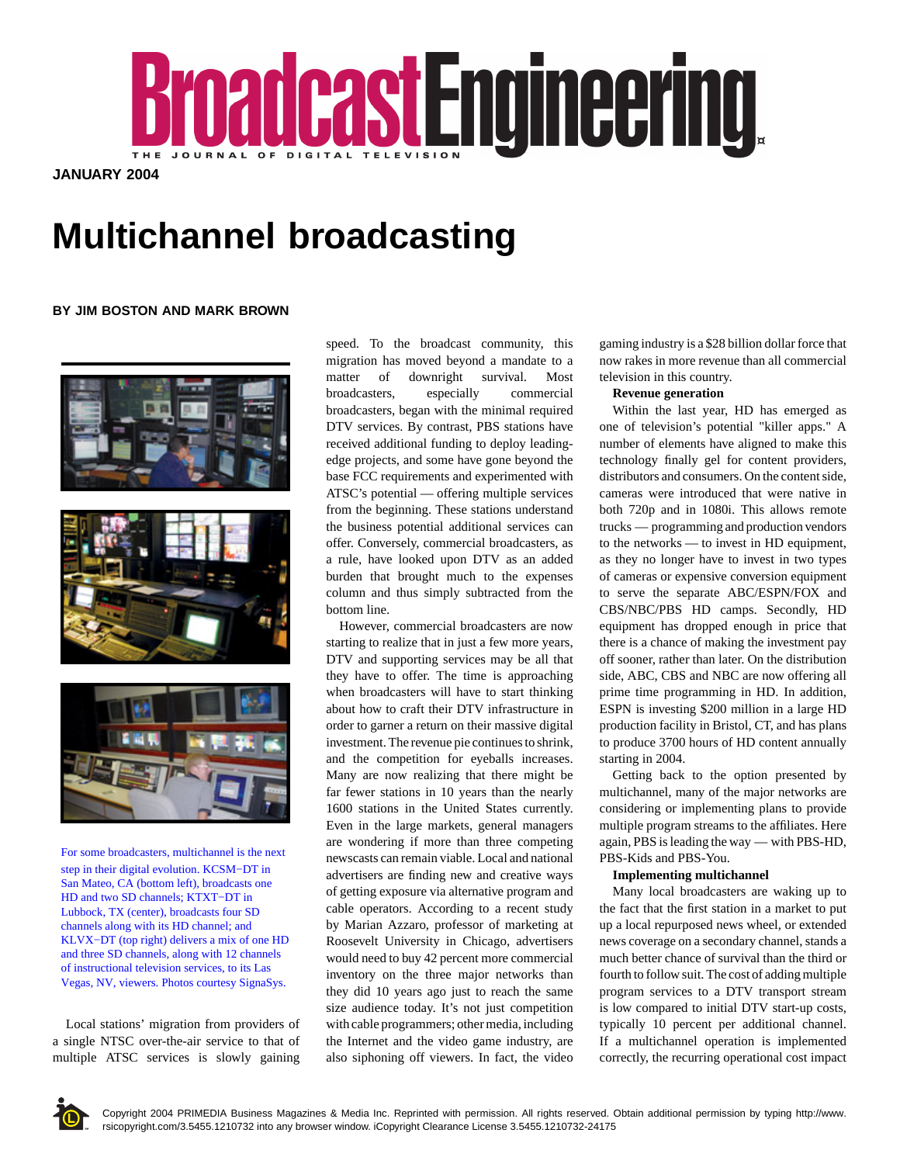

**JANUARY 2004**

# **Multichannel broadcasting**

## **BY JIM BOSTON AND MARK BROWN**



For some broadcasters, multichannel is the next step in their digital evolution. KCSM−DT in San Mateo, CA (bottom left), broadcasts one HD and two SD channels: KTXT–DT in Lubbock, TX (center), broadcasts four SD channels along with its HD channel; and KLVX−DT (top right) delivers a mix of one HD and three SD channels, along with 12 channels of instructional television services, to its Las Vegas, NV, viewers. Photos courtesy SignaSys.

Local stations' migration from providers of a single NTSC over-the-air service to that of multiple ATSC services is slowly gaining

speed. To the broadcast community, this migration has moved beyond a mandate to a matter of downright survival. Most broadcasters, especially commercial broadcasters, began with the minimal required DTV services. By contrast, PBS stations have received additional funding to deploy leadingedge projects, and some have gone beyond the base FCC requirements and experimented with ATSC's potential — offering multiple services from the beginning. These stations understand the business potential additional services can offer. Conversely, commercial broadcasters, as a rule, have looked upon DTV as an added burden that brought much to the expenses column and thus simply subtracted from the bottom line.

However, commercial broadcasters are now starting to realize that in just a few more years, DTV and supporting services may be all that they have to offer. The time is approaching when broadcasters will have to start thinking about how to craft their DTV infrastructure in order to garner a return on their massive digital investment. The revenue pie continues to shrink, and the competition for eyeballs increases. Many are now realizing that there might be far fewer stations in 10 years than the nearly 1600 stations in the United States currently. Even in the large markets, general managers are wondering if more than three competing newscasts can remain viable. Local and national advertisers are finding new and creative ways of getting exposure via alternative program and cable operators. According to a recent study by Marian Azzaro, professor of marketing at Roosevelt University in Chicago, advertisers would need to buy 42 percent more commercial inventory on the three major networks than they did 10 years ago just to reach the same size audience today. It's not just competition with cable programmers; other media, including the Internet and the video game industry, are also siphoning off viewers. In fact, the video gaming industry is a \$28 billion dollar force that now rakes in more revenue than all commercial television in this country.

## **Revenue generation**

Within the last year, HD has emerged as one of television's potential "killer apps." A number of elements have aligned to make this technology finally gel for content providers, distributors and consumers. On the content side, cameras were introduced that were native in both 720p and in 1080i. This allows remote trucks — programming and production vendors to the networks — to invest in HD equipment, as they no longer have to invest in two types of cameras or expensive conversion equipment to serve the separate ABC/ESPN/FOX and CBS/NBC/PBS HD camps. Secondly, HD equipment has dropped enough in price that there is a chance of making the investment pay off sooner, rather than later. On the distribution side, ABC, CBS and NBC are now offering all prime time programming in HD. In addition, ESPN is investing \$200 million in a large HD production facility in Bristol, CT, and has plans to produce 3700 hours of HD content annually starting in 2004.

Getting back to the option presented by multichannel, many of the major networks are considering or implementing plans to provide multiple program streams to the affiliates. Here again, PBS is leading the way — with PBS-HD, PBS-Kids and PBS-You.

#### **Implementing multichannel**

Many local broadcasters are waking up to the fact that the first station in a market to put up a local repurposed news wheel, or extended news coverage on a secondary channel, stands a much better chance of survival than the third or fourth to follow suit. The cost of adding multiple program services to a DTV transport stream is low compared to initial DTV start-up costs, typically 10 percent per additional channel. If a multichannel operation is implemented correctly, the recurring operational cost impact

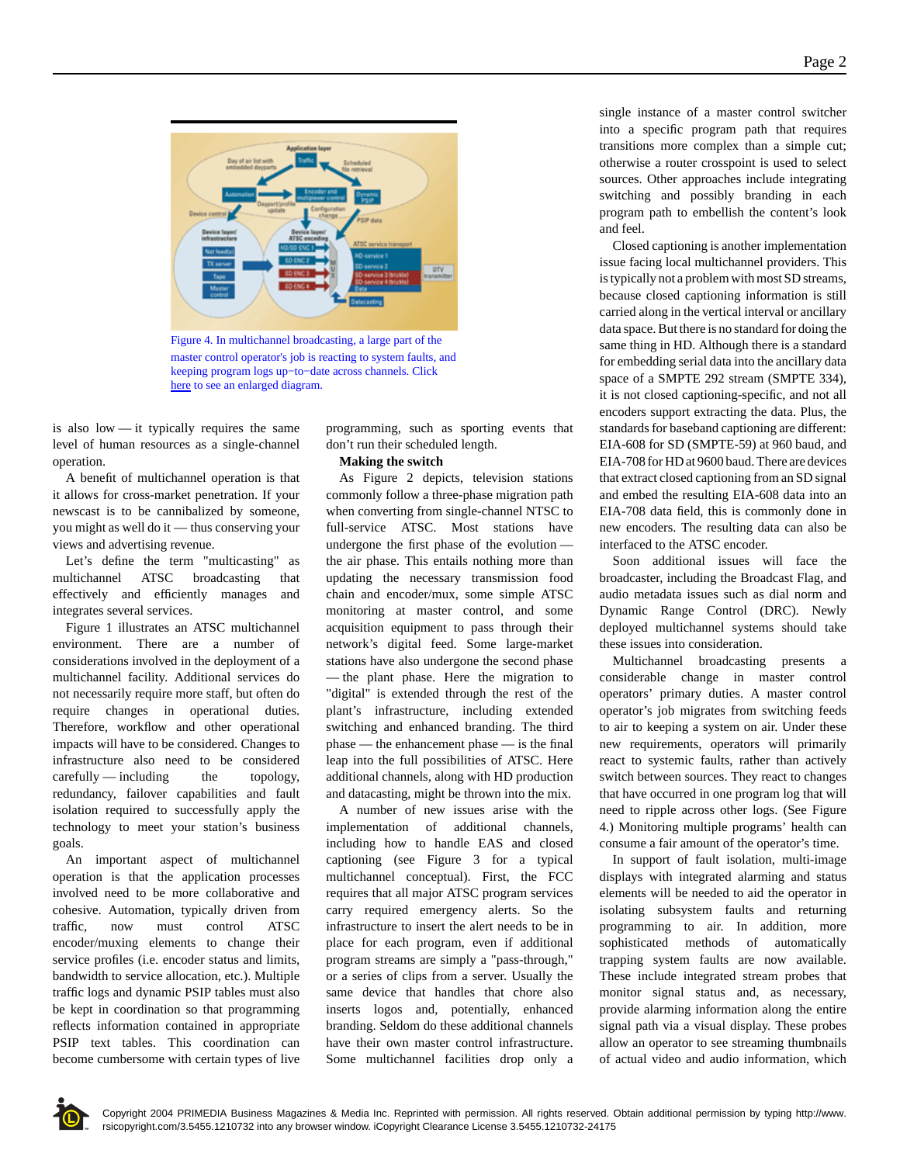

Figure 4. In multichannel broadcasting, a large part of the master control operator's job is reacting to system faults, and keeping program logs up−to−date across channels. Click here to see an enlarged diagram.

is also low — it typically requires the same level of human resources as a single-channel operation.

A benefit of multichannel operation is that it allows for cross-market penetration. If your newscast is to be cannibalized by someone, you might as well do it — thus conserving your views and advertising revenue.

Let's define the term "multicasting" as multichannel ATSC broadcasting that effectively and efficiently manages and integrates several services.

Figure 1 illustrates an ATSC multichannel environment. There are a number of considerations involved in the deployment of a multichannel facility. Additional services do not necessarily require more staff, but often do require changes in operational duties. Therefore, workflow and other operational impacts will have to be considered. Changes to infrastructure also need to be considered carefully — including the topology, redundancy, failover capabilities and fault isolation required to successfully apply the technology to meet your station's business goals.

An important aspect of multichannel operation is that the application processes involved need to be more collaborative and cohesive. Automation, typically driven from traffic, now must control ATSC encoder/muxing elements to change their service profiles (i.e. encoder status and limits, bandwidth to service allocation, etc.). Multiple traffic logs and dynamic PSIP tables must also be kept in coordination so that programming reflects information contained in appropriate PSIP text tables. This coordination can become cumbersome with certain types of live

programming, such as sporting events that don't run their scheduled length.

#### **Making the switch**

As Figure 2 depicts, television stations commonly follow a three-phase migration path when converting from single-channel NTSC to full-service ATSC. Most stations have undergone the first phase of the evolution the air phase. This entails nothing more than updating the necessary transmission food chain and encoder/mux, some simple ATSC monitoring at master control, and some acquisition equipment to pass through their network's digital feed. Some large-market stations have also undergone the second phase — the plant phase. Here the migration to "digital" is extended through the rest of the plant's infrastructure, including extended switching and enhanced branding. The third phase — the enhancement phase — is the final leap into the full possibilities of ATSC. Here additional channels, along with HD production and datacasting, might be thrown into the mix.

A number of new issues arise with the implementation of additional channels, including how to handle EAS and closed captioning (see Figure 3 for a typical multichannel conceptual). First, the FCC requires that all major ATSC program services carry required emergency alerts. So the infrastructure to insert the alert needs to be in place for each program, even if additional program streams are simply a "pass-through," or a series of clips from a server. Usually the same device that handles that chore also inserts logos and, potentially, enhanced branding. Seldom do these additional channels have their own master control infrastructure. Some multichannel facilities drop only a single instance of a master control switcher into a specific program path that requires transitions more complex than a simple cut; otherwise a router crosspoint is used to select sources. Other approaches include integrating switching and possibly branding in each program path to embellish the content's look and feel.

Closed captioning is another implementation issue facing local multichannel providers. This is typically not a problem with most SD streams, because closed captioning information is still carried along in the vertical interval or ancillary data space. But there is no standard for doing the same thing in HD. Although there is a standard for embedding serial data into the ancillary data space of a SMPTE 292 stream (SMPTE 334), it is not closed captioning-specific, and not all encoders support extracting the data. Plus, the standards for baseband captioning are different: EIA-608 for SD (SMPTE-59) at 960 baud, and EIA-708 for HD at 9600 baud. There are devices that extract closed captioning from an SD signal and embed the resulting EIA-608 data into an EIA-708 data field, this is commonly done in new encoders. The resulting data can also be interfaced to the ATSC encoder.

Soon additional issues will face the broadcaster, including the Broadcast Flag, and audio metadata issues such as dial norm and Dynamic Range Control (DRC). Newly deployed multichannel systems should take these issues into consideration.

Multichannel broadcasting presents a considerable change in master control operators' primary duties. A master control operator's job migrates from switching feeds to air to keeping a system on air. Under these new requirements, operators will primarily react to systemic faults, rather than actively switch between sources. They react to changes that have occurred in one program log that will need to ripple across other logs. (See Figure 4.) Monitoring multiple programs' health can consume a fair amount of the operator's time.

In support of fault isolation, multi-image displays with integrated alarming and status elements will be needed to aid the operator in isolating subsystem faults and returning programming to air. In addition, more sophisticated methods of automatically trapping system faults are now available. These include integrated stream probes that monitor signal status and, as necessary, provide alarming information along the entire signal path via a visual display. These probes allow an operator to see streaming thumbnails of actual video and audio information, which

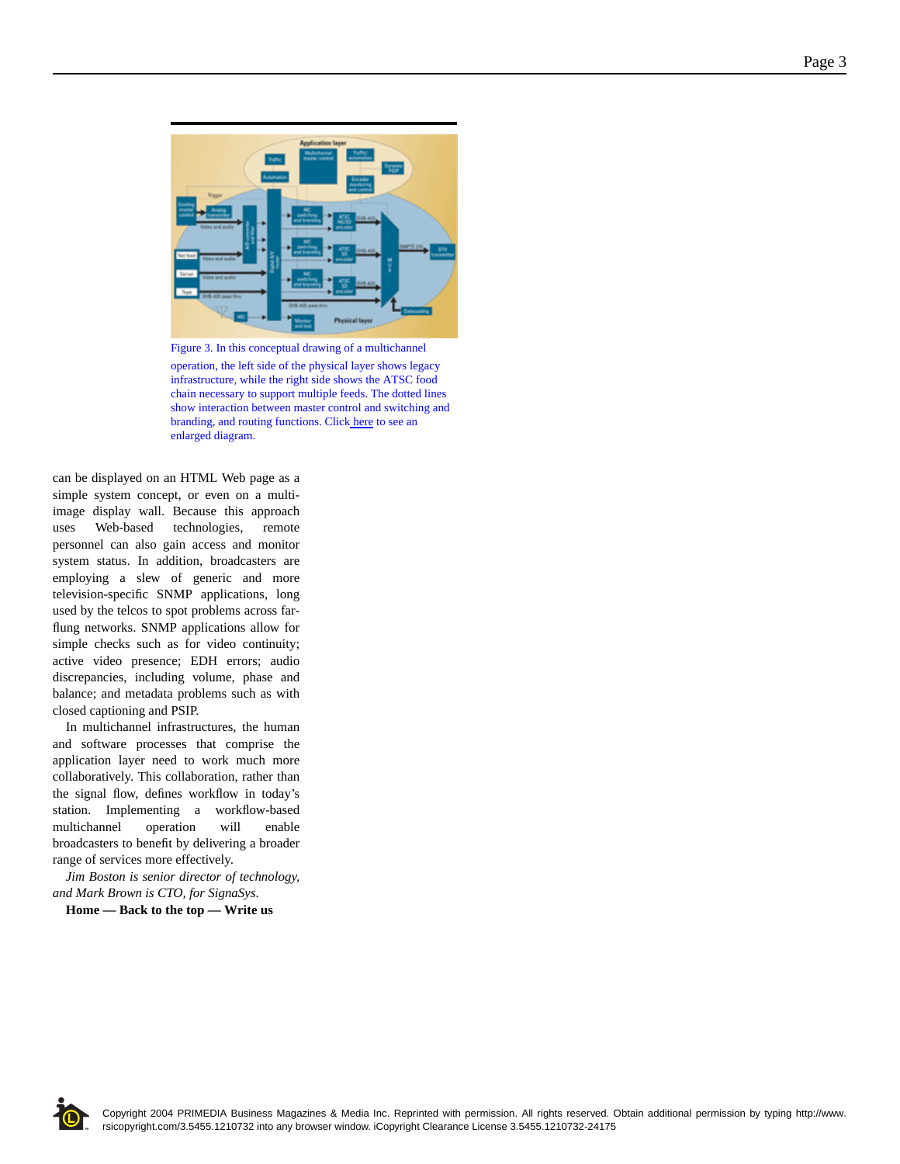

Figure 3. In this conceptual drawing of a multichannel operation, the left side of the physical layer shows legacy infrastructure, while the right side shows the ATSC food chain necessary to support multiple feeds. The dotted lines show interaction between master control and switching and branding, and routing functions. Click here to see an enlarged diagram.

can be displayed on an HTML Web page as a simple system concept, or even on a multiimage display wall. Because this approach uses Web-based technologies, remote personnel can also gain access and monitor system status. In addition, broadcasters are employing a slew of generic and more television-specific SNMP applications, long used by the telcos to spot problems across farflung networks. SNMP applications allow for simple checks such as for video continuity; active video presence; EDH errors; audio discrepancies, including volume, phase and balance; and metadata problems such as with closed captioning and PSIP.

In multichannel infrastructures, the human and software processes that comprise the application layer need to work much more collaboratively. This collaboration, rather than the signal flow, defines workflow in today's station. Implementing a workflow-based multichannel operation will enable broadcasters to benefit by delivering a broader range of services more effectively.

*Jim Boston is senior director of technology, and Mark Brown is CTO, for SignaSys*.

**Home — Back to the top — Write us**